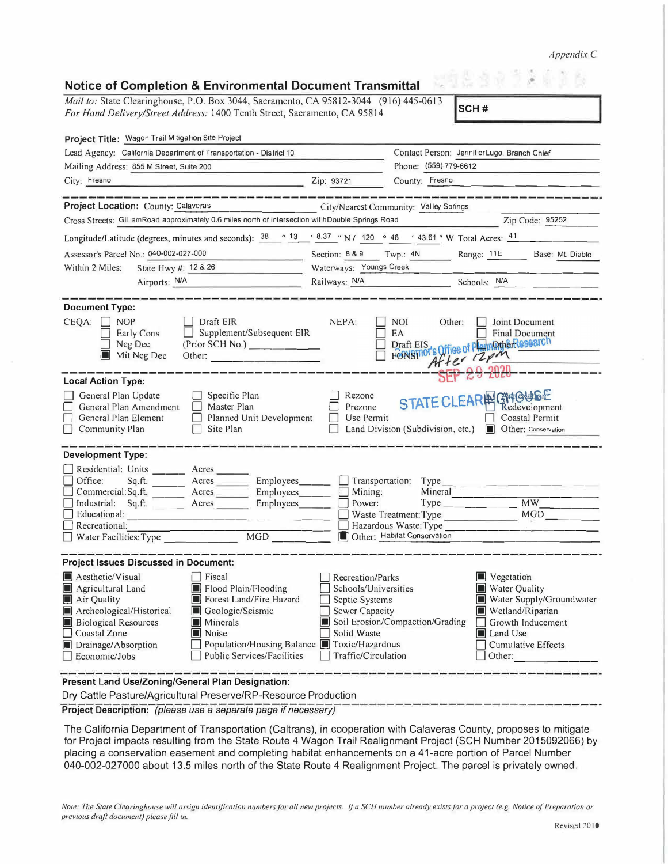*Appendix C* 

| <b>Notice of Completion &amp; Environmental Document Transmittal</b><br>Mail to: State Clearinghouse, P.O. Box 3044, Sacramento, CA 95812-3044 (916) 445-0613                                                                                                                                                      |                                                                                                                                                                                                                                                                                                                                                                   |  |  |  |
|--------------------------------------------------------------------------------------------------------------------------------------------------------------------------------------------------------------------------------------------------------------------------------------------------------------------|-------------------------------------------------------------------------------------------------------------------------------------------------------------------------------------------------------------------------------------------------------------------------------------------------------------------------------------------------------------------|--|--|--|
| For Hand Delivery/Street Address: 1400 Tenth Street, Sacramento, CA 95814                                                                                                                                                                                                                                          | SCH#                                                                                                                                                                                                                                                                                                                                                              |  |  |  |
| Project Title: Wagon Trail Mitigation Site Project                                                                                                                                                                                                                                                                 |                                                                                                                                                                                                                                                                                                                                                                   |  |  |  |
| Lead Agency: California Department of Transportation - District 10                                                                                                                                                                                                                                                 | Contact Person: JenniferLugo, Branch Chief                                                                                                                                                                                                                                                                                                                        |  |  |  |
| Mailing Address: 855 M Street, Suite 200                                                                                                                                                                                                                                                                           | Phone: (559) 779-6612                                                                                                                                                                                                                                                                                                                                             |  |  |  |
| City: Fresno                                                                                                                                                                                                                                                                                                       | Zip: 93721<br>County: Fresno                                                                                                                                                                                                                                                                                                                                      |  |  |  |
|                                                                                                                                                                                                                                                                                                                    |                                                                                                                                                                                                                                                                                                                                                                   |  |  |  |
| Project Location: County: Calaveras                                                                                                                                                                                                                                                                                | City/Nearest Community: Valley Springs                                                                                                                                                                                                                                                                                                                            |  |  |  |
| Cross Streets: Gil lamRoad approximately 0.6 miles north of intersection wit hDouble Springs Road                                                                                                                                                                                                                  | Zip Code: 95252                                                                                                                                                                                                                                                                                                                                                   |  |  |  |
| Longitude/Latitude (degrees, minutes and seconds): $38$ ° $13$ $\cdot$ 8.37 ° N / 120 ° 46 $\cdot$ 43.61 ° W Total Acres: $\frac{41}{2}$                                                                                                                                                                           |                                                                                                                                                                                                                                                                                                                                                                   |  |  |  |
| Assessor's Parcel No.: 040-002-027-000                                                                                                                                                                                                                                                                             | Section: 8 & 9 Twp.: 4N Range: 11E Base: Mt. Diablo                                                                                                                                                                                                                                                                                                               |  |  |  |
| State Hwy #: 12 & 26<br>Within 2 Miles:                                                                                                                                                                                                                                                                            | Waterways: Youngs Creek                                                                                                                                                                                                                                                                                                                                           |  |  |  |
| Airports: N/A                                                                                                                                                                                                                                                                                                      | Railways: N/A<br>Schools: N/A                                                                                                                                                                                                                                                                                                                                     |  |  |  |
|                                                                                                                                                                                                                                                                                                                    |                                                                                                                                                                                                                                                                                                                                                                   |  |  |  |
| <b>Document Type:</b>                                                                                                                                                                                                                                                                                              |                                                                                                                                                                                                                                                                                                                                                                   |  |  |  |
| CEQA:<br><b>NOP</b><br>Draft EIR<br>Supplement/Subsequent EIR<br>Early Cons<br>Neg Dec<br>(Prior SCH No.)<br>Mit Neg Dec<br>Other:                                                                                                                                                                                 | NEPA:<br>NOI<br>Other:<br>Joint Document<br>EA<br><b>Final Document</b><br>Draft EIS, Office of PlannOtherResearch<br>After 12pm                                                                                                                                                                                                                                  |  |  |  |
| <b>Local Action Type:</b>                                                                                                                                                                                                                                                                                          |                                                                                                                                                                                                                                                                                                                                                                   |  |  |  |
| General Plan Update<br>$\Box$ Specific Plan<br>General Plan Amendment<br>Master Plan<br>General Plan Element<br>Planned Unit Development<br>Community Plan<br>Site Plan                                                                                                                                            | STATE CLEAR A GMOULE<br>Rezone<br>Prezone<br>Redevelopment<br>Coastal Permit<br>Use Permit<br>Land Division (Subdivision, etc.)<br><b>I</b> Other: Conservation                                                                                                                                                                                                   |  |  |  |
| <b>Development Type:</b>                                                                                                                                                                                                                                                                                           |                                                                                                                                                                                                                                                                                                                                                                   |  |  |  |
| Residential: Units ________ Acres ______<br>Office:<br>Acres Employees<br>Sq.H.<br>Commercial: Sq.ft.<br>Acres Employees<br>$\Box$ Industrial: Sq.ft.<br>Acres<br>Employees<br>Educational:<br>Recreational:<br><b>MGD</b><br>Water Facilities: Type                                                               | Transportation:<br>Type<br>Mineral<br>Mining:<br>MW<br>Power:<br>Type<br><b>MGD</b><br>Waste Treatment: Type<br>Hazardous Waste: Type<br>Other: Habitat Conservation                                                                                                                                                                                              |  |  |  |
| <b>Project Issues Discussed in Document:</b>                                                                                                                                                                                                                                                                       |                                                                                                                                                                                                                                                                                                                                                                   |  |  |  |
| Aesthetic/Visual<br>Fiscal<br>Flood Plain/Flooding<br>Agricultural Land<br>Forest Land/Fire Hazard<br>Air Quality<br>Geologic/Seismic<br>Archeological/Historical<br>Minerals<br><b>Biological Resources</b><br>Noise<br>Coastal Zone<br>Drainage/Absorption<br><b>Public Services/Facilities</b><br>Economic/Jobs | Recreation/Parks<br>Vegetation<br>Schools/Universities<br>Water Quality<br>Water Supply/Groundwater<br>Septic Systems<br><b>Sewer Capacity</b><br>Wetland/Riparian<br>Soil Erosion/Compaction/Grading<br>Growth Inducement<br>Solid Waste<br><b>Land Use</b><br>Population/Housing Balance Toxic/Hazardous<br>Cumulative Effects<br>Traffic/Circulation<br>Other: |  |  |  |
| Present Land Use/Zoning/General Plan Designation:<br>Dry Cattle Pasture/Agricultural Preserve/RP-Resource Production                                                                                                                                                                                               |                                                                                                                                                                                                                                                                                                                                                                   |  |  |  |

**Project Description:** *(please use a separate page if necessary)* 

The California Department of Transportation (Caltrans), in cooperation with Calaveras County, proposes to mitigate for Project impacts resulting from the State Route 4 Wagon Trail Realignment Project (SCH Number 2015092066) by placing a conservation easement and completing habitat enhancements on a 41-acre portion of Parcel Number 040-002-027000 about 13.5 miles north of the State Route 4 Realignment Project. The parcel is privately owned.

*Note: The State Clearinghouse will assign identification numbers for all new projects. If a SCH number already exists for a project (e.g. Notice of Preparation or previous draft document) please fill in.*